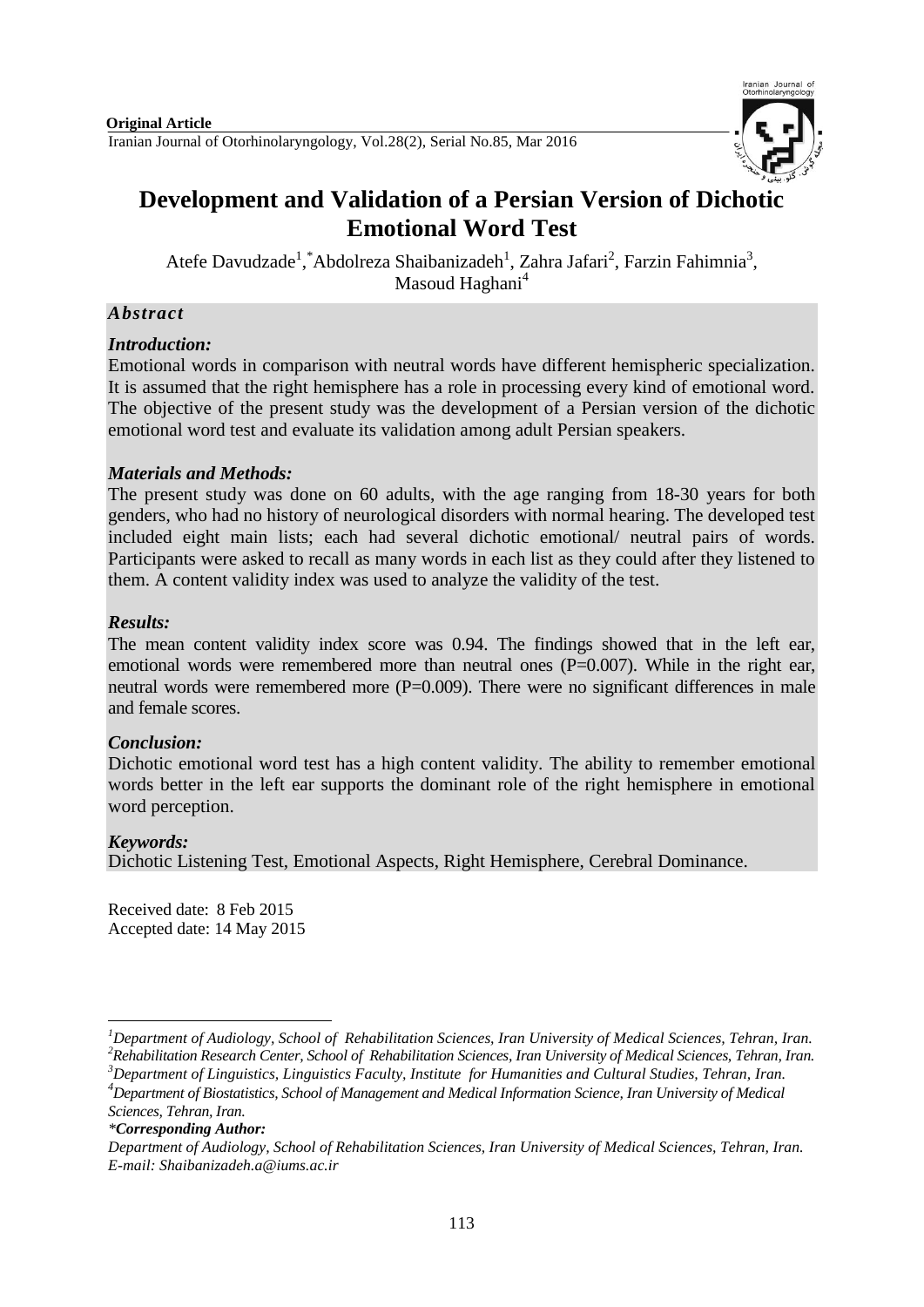

# **Development and Validation of a Persian Version of Dichotic Emotional Word Test**

Atefe Davudzade<sup>1</sup>, \*Abdolreza Shaibanizadeh<sup>1</sup>, Zahra Jafari<sup>2</sup>, Farzin Fahimnia<sup>3</sup>, Masoud Haghani<sup>4</sup>

# *Abstract*

# *Introduction:*

Emotional words in comparison with neutral words have different hemispheric specialization. It is assumed that the right hemisphere has a role in processing every kind of emotional word. The objective of the present study was the development of a Persian version of the dichotic emotional word test and evaluate its validation among adult Persian speakers.

# *Materials and Methods:*

The present study was done on 60 adults, with the age ranging from 18-30 years for both genders, who had no history of neurological disorders with normal hearing. The developed test included eight main lists; each had several dichotic emotional/ neutral pairs of words. Participants were asked to recall as many words in each list as they could after they listened to them. A content validity index was used to analyze the validity of the test.

# *Results:*

The mean content validity index score was 0.94. The findings showed that in the left ear, emotional words were remembered more than neutral ones  $(P=0.007)$ . While in the right ear, neutral words were remembered more (P=0.009). There were no significant differences in male and female scores.

# *Conclusion:*

Dichotic emotional word test has a high content validity. The ability to remember emotional words better in the left ear supports the dominant role of the right hemisphere in emotional word perception.

## *Keywords:*

Dichotic Listening Test, Emotional Aspects, Right Hemisphere, Cerebral Dominance.

Received date: 8 Feb 2015 Accepted date: 14 May 2015

<sup>1</sup> *<sup>1</sup>Department of Audiology, School of Rehabilitation Sciences, Iran University of Medical Sciences, Tehran, Iran.*

*<sup>2</sup>Rehabilitation Research Center, School of Rehabilitation Sciences, Iran University of Medical Sciences, Tehran, Iran. <sup>3</sup>Department of Linguistics, Linguistics Faculty, Institute for Humanities and Cultural Studies, Tehran, Iran. <sup>4</sup>Department of Biostatistics, School of Management and Medical Information Science, Iran University of Medical* 

*Sciences, Tehran, Iran.*

*<sup>\*</sup>Corresponding Author:* 

*Department of Audiology, School of Rehabilitation Sciences, Iran University of Medical Sciences, Tehran, Iran. E-mail: Shaibanizadeh.a@iums.ac.ir*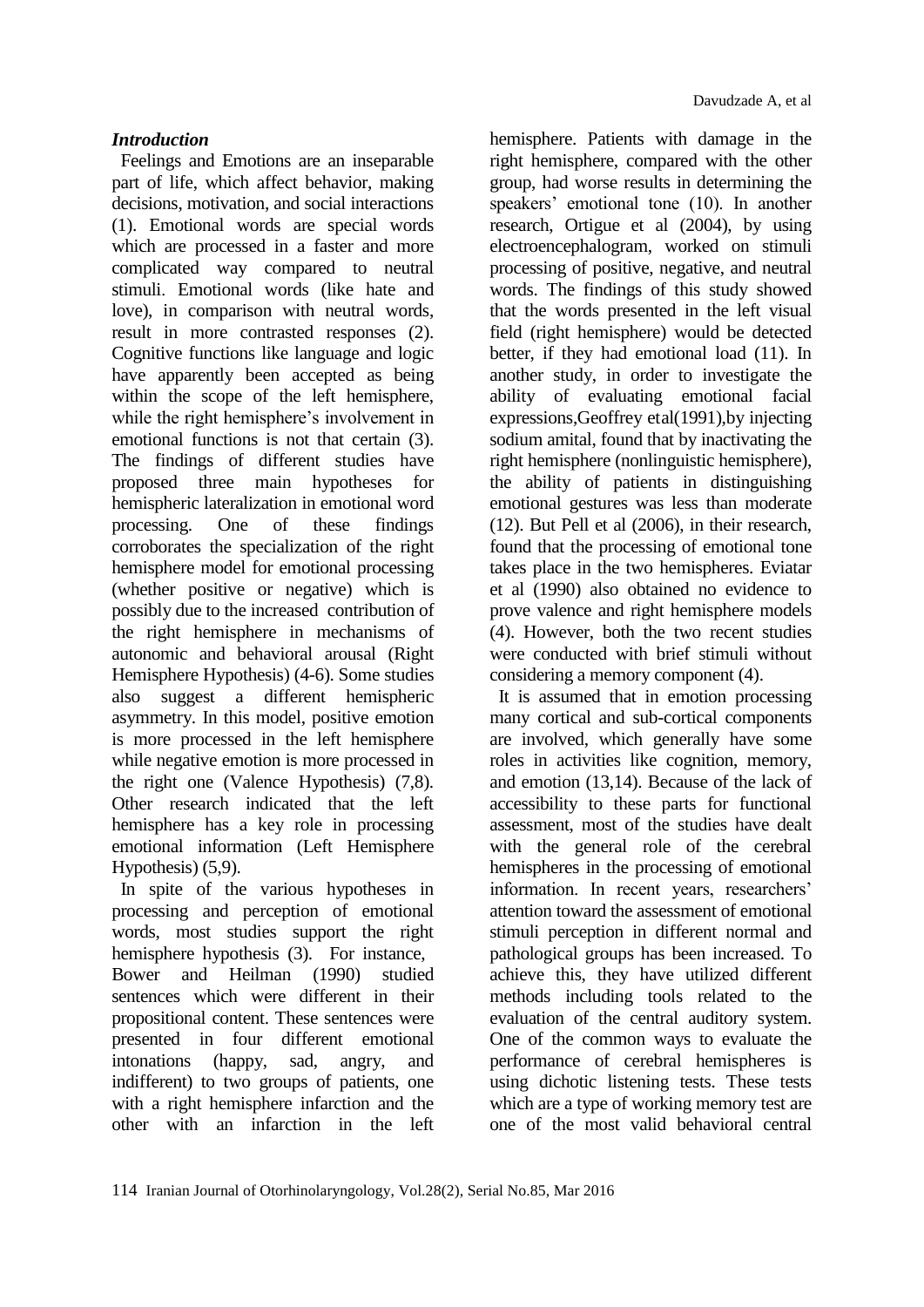## *Introduction*

Feelings and Emotions are an inseparable part of life, which affect behavior, making decisions, motivation, and social interactions (1). Emotional words are special words which are processed in a faster and more complicated way compared to neutral stimuli. Emotional words (like hate and love), in comparison with neutral words, result in more contrasted responses (2). Cognitive functions like language and logic have apparently been accepted as being within the scope of the left hemisphere, while the right hemisphere's involvement in emotional functions is not that certain (3). The findings of different studies have proposed three main hypotheses for hemispheric lateralization in emotional word processing. One of these findings corroborates the specialization of the right hemisphere model for emotional processing (whether positive or negative) which is possibly due to the increased contribution of the right hemisphere in mechanisms of autonomic and behavioral arousal (Right Hemisphere Hypothesis) (4-6). Some studies also suggest a different hemispheric asymmetry. In this model, positive emotion is more processed in the left hemisphere while negative emotion is more processed in the right one (Valence Hypothesis) (7,8). Other research indicated that the left hemisphere has a key role in processing emotional information (Left Hemisphere Hypothesis) (5,9).

In spite of the various hypotheses in processing and perception of emotional words, most studies support the right hemisphere hypothesis (3). For instance, Bower and Heilman (1990) studied sentences which were different in their propositional content. These sentences were presented in four different emotional intonations (happy, sad, angry, and indifferent) to two groups of patients, one with a right hemisphere infarction and the other with an infarction in the left

hemisphere. Patients with damage in the right hemisphere, compared with the other group, had worse results in determining the speakers' emotional tone (10). In another research, Ortigue et al (2004), by using electroencephalogram, worked on stimuli processing of positive, negative, and neutral words. The findings of this study showed that the words presented in the left visual field (right hemisphere) would be detected better, if they had emotional load (11). In another study, in order to investigate the ability of evaluating emotional facial expressions,Geoffrey etal(1991),by injecting sodium amital, found that by inactivating the right hemisphere (nonlinguistic hemisphere), the ability of patients in distinguishing emotional gestures was less than moderate (12). But Pell et al (2006), in their research, found that the processing of emotional tone takes place in the two hemispheres. Eviatar et al (1990) also obtained no evidence to prove valence and right hemisphere models (4). However, both the two recent studies were conducted with brief stimuli without considering a memory component (4).

It is assumed that in emotion processing many cortical and sub-cortical components are involved, which generally have some roles in activities like cognition, memory, and emotion (13,14). Because of the lack of accessibility to these parts for functional assessment, most of the studies have dealt with the general role of the cerebral hemispheres in the processing of emotional information. In recent years, researchers' attention toward the assessment of emotional stimuli perception in different normal and pathological groups has been increased. To achieve this, they have utilized different methods including tools related to the evaluation of the central auditory system. One of the common ways to evaluate the performance of cerebral hemispheres is using dichotic listening tests. These tests which are a type of working memory test are one of the most valid behavioral central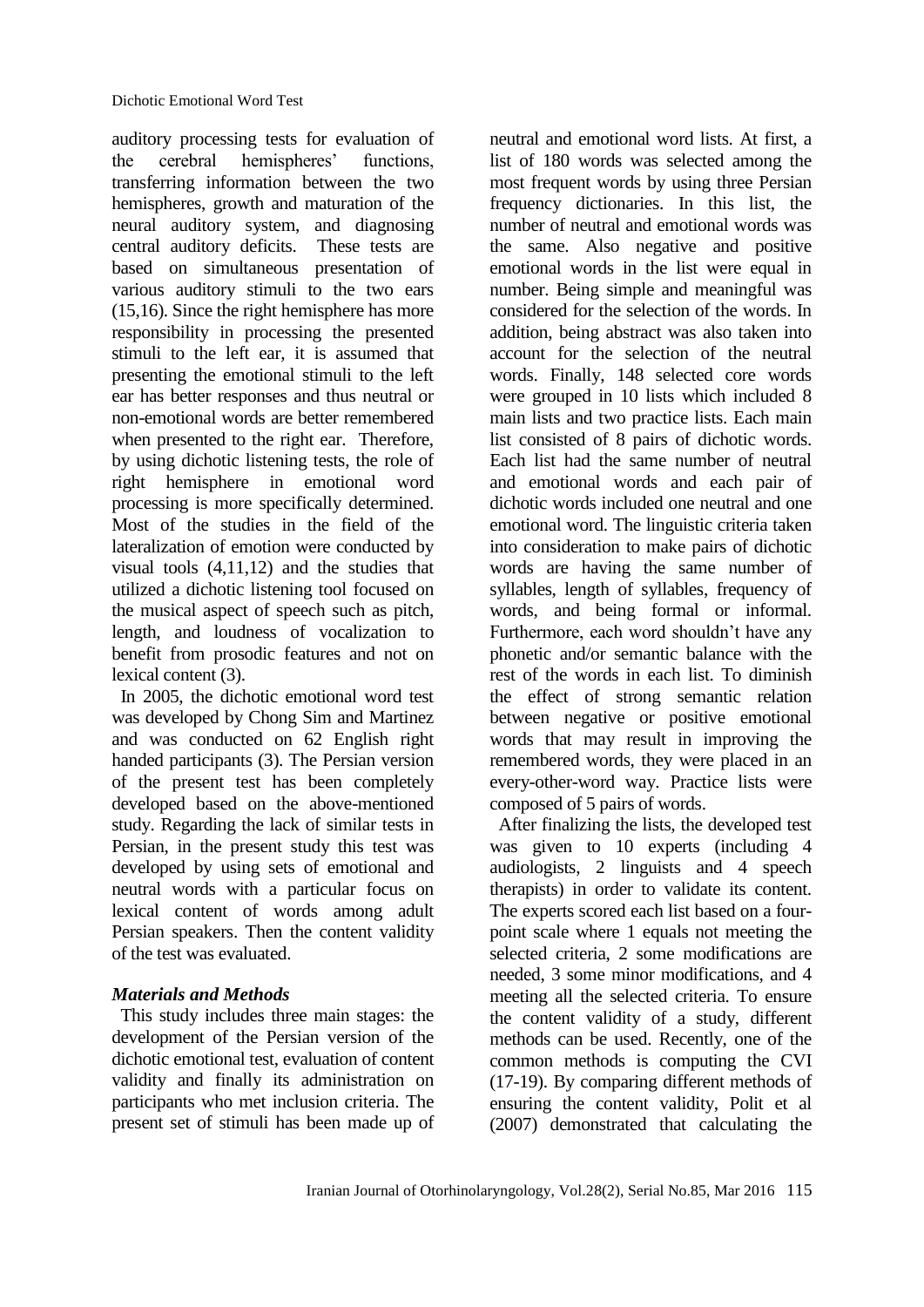auditory processing tests for evaluation of the cerebral hemispheres' functions, transferring information between the two hemispheres, growth and maturation of the neural auditory system, and diagnosing central auditory deficits. These tests are based on simultaneous presentation of various auditory stimuli to the two ears (15,16). Since the right hemisphere has more responsibility in processing the presented stimuli to the left ear, it is assumed that presenting the emotional stimuli to the left ear has better responses and thus neutral or non-emotional words are better remembered when presented to the right ear. Therefore, by using dichotic listening tests, the role of right hemisphere in emotional word processing is more specifically determined. Most of the studies in the field of the lateralization of emotion were conducted by visual tools (4,11,12) and the studies that utilized a dichotic listening tool focused on the musical aspect of speech such as pitch, length, and loudness of vocalization to benefit from prosodic features and not on lexical content (3).

In 2005, the dichotic emotional word test was developed by Chong Sim and Martinez and was conducted on 62 English right handed participants (3). The Persian version of the present test has been completely developed based on the above-mentioned study. Regarding the lack of similar tests in Persian, in the present study this test was developed by using sets of emotional and neutral words with a particular focus on lexical content of words among adult Persian speakers. Then the content validity of the test was evaluated.

# *Materials and Methods*

This study includes three main stages: the development of the Persian version of the dichotic emotional test, evaluation of content validity and finally its administration on participants who met inclusion criteria. The present set of stimuli has been made up of neutral and emotional word lists. At first, a list of 180 words was selected among the most frequent words by using three Persian frequency dictionaries. In this list, the number of neutral and emotional words was the same. Also negative and positive emotional words in the list were equal in number. Being simple and meaningful was considered for the selection of the words. In addition, being abstract was also taken into account for the selection of the neutral words. Finally, 148 selected core words were grouped in 10 lists which included 8 main lists and two practice lists. Each main list consisted of 8 pairs of dichotic words. Each list had the same number of neutral and emotional words and each pair of dichotic words included one neutral and one emotional word. The linguistic criteria taken into consideration to make pairs of dichotic words are having the same number of syllables, length of syllables, frequency of words, and being formal or informal. Furthermore, each word shouldn't have any phonetic and/or semantic balance with the rest of the words in each list. To diminish the effect of strong semantic relation between negative or positive emotional words that may result in improving the remembered words, they were placed in an every-other-word way. Practice lists were composed of 5 pairs of words.

After finalizing the lists, the developed test was given to 10 experts (including 4 audiologists, 2 linguists and 4 speech therapists) in order to validate its content. The experts scored each list based on a fourpoint scale where 1 equals not meeting the selected criteria, 2 some modifications are needed, 3 some minor modifications, and 4 meeting all the selected criteria. To ensure the content validity of a study, different methods can be used. Recently, one of the common methods is computing the CVI (17-19). By comparing different methods of ensuring the content validity, Polit et al (2007) demonstrated that calculating the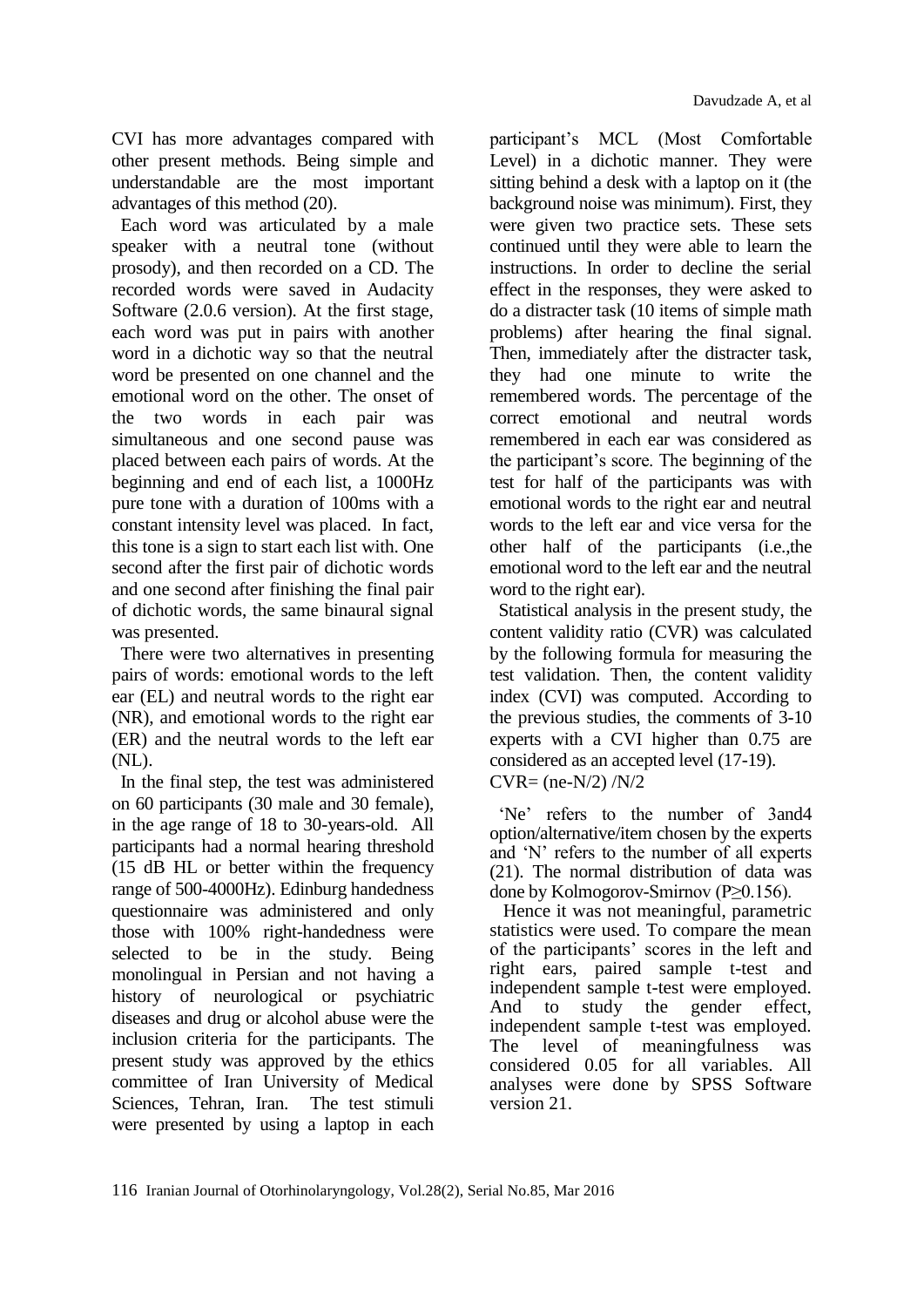CVI has more advantages compared with other present methods. Being simple and understandable are the most important advantages of this method (20).

Each word was articulated by a male speaker with a neutral tone (without prosody), and then recorded on a CD. The recorded words were saved in Audacity Software (2.0.6 version). At the first stage, each word was put in pairs with another word in a dichotic way so that the neutral word be presented on one channel and the emotional word on the other. The onset of the two words in each pair was simultaneous and one second pause was placed between each pairs of words. At the beginning and end of each list, a 1000Hz pure tone with a duration of 100ms with a constant intensity level was placed. In fact, this tone is a sign to start each list with. One second after the first pair of dichotic words and one second after finishing the final pair of dichotic words, the same binaural signal was presented.

There were two alternatives in presenting pairs of words: emotional words to the left ear (EL) and neutral words to the right ear (NR), and emotional words to the right ear (ER) and the neutral words to the left ear (NL).

In the final step, the test was administered on 60 participants (30 male and 30 female), in the age range of 18 to 30-years-old. All participants had a normal hearing threshold (15 dB HL or better within the frequency range of 500-4000Hz). Edinburg handedness questionnaire was administered and only those with 100% right-handedness were selected to be in the study. Being monolingual in Persian and not having a history of neurological or psychiatric diseases and drug or alcohol abuse were the inclusion criteria for the participants. The present study was approved by the ethics committee of Iran University of Medical Sciences, Tehran, Iran. The test stimuli were presented by using a laptop in each participant's MCL (Most Comfortable Level) in a dichotic manner. They were sitting behind a desk with a laptop on it (the background noise was minimum). First, they were given two practice sets. These sets continued until they were able to learn the instructions. In order to decline the serial effect in the responses, they were asked to do a distracter task (10 items of simple math problems) after hearing the final signal. Then, immediately after the distracter task, they had one minute to write the remembered words. The percentage of the correct emotional and neutral words remembered in each ear was considered as the participant's score. The beginning of the test for half of the participants was with emotional words to the right ear and neutral words to the left ear and vice versa for the other half of the participants (i.e.,the emotional word to the left ear and the neutral word to the right ear).

Statistical analysis in the present study, the content validity ratio (CVR) was calculated by the following formula for measuring the test validation. Then, the content validity index (CVI) was computed. According to the previous studies, the comments of 3-10 experts with a CVI higher than 0.75 are considered as an accepted level (17-19).  $CVR = (ne-N/2)/N/2$ 

'Ne' refers to the number of 3and4 option/alternative/item chosen by the experts and 'N' refers to the number of all experts (21). The normal distribution of data was done by Kolmogorov-Smirnov (P≥0.156).

Hence it was not meaningful, parametric statistics were used. To compare the mean of the participants' scores in the left and right ears, paired sample t-test and independent sample t-test were employed. And to study the gender effect, independent sample t-test was employed. The level of meaningfulness was considered 0.05 for all variables. All analyses were done by SPSS Software version 21.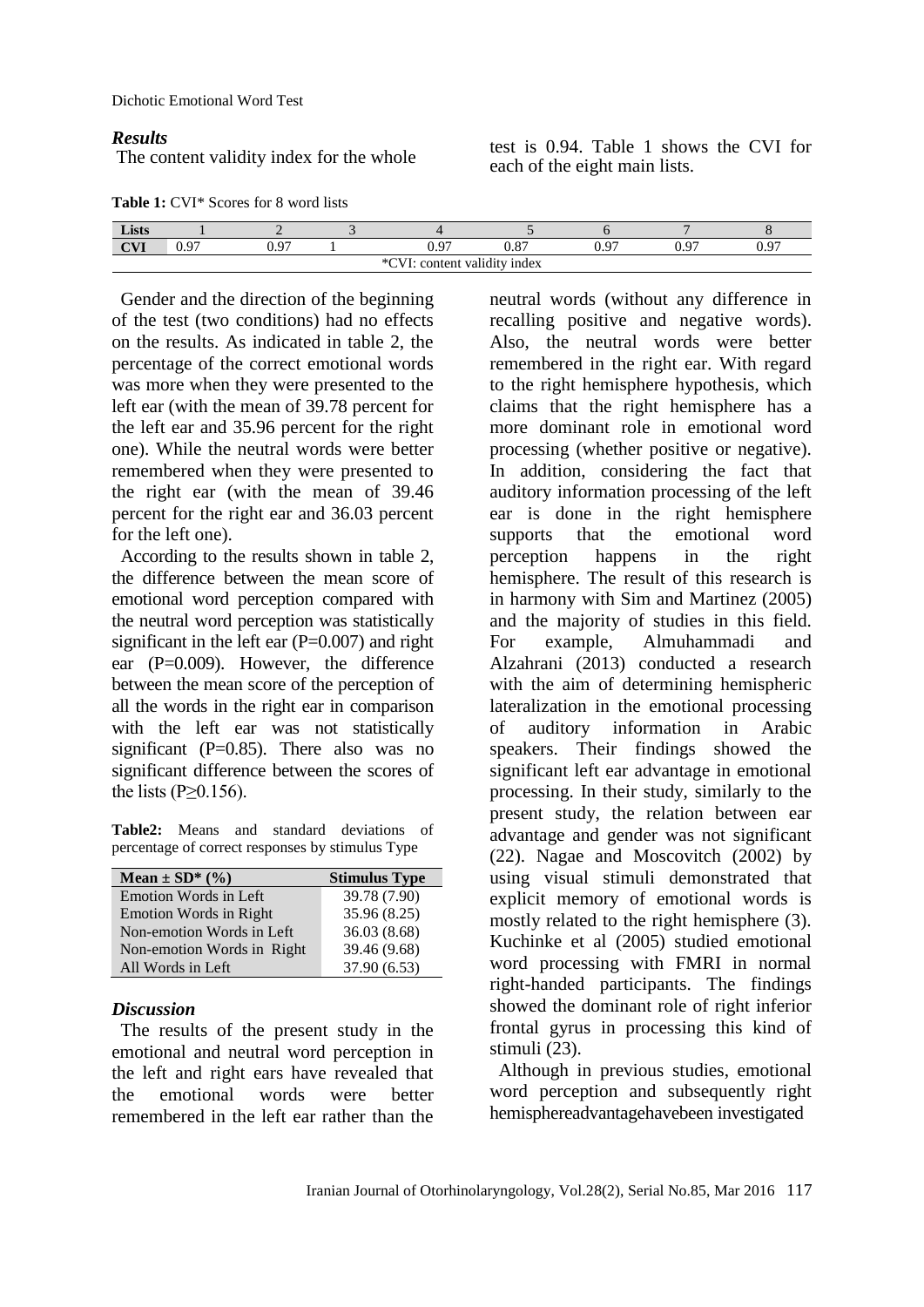Dichotic Emotional Word Test

#### *Results*

**The content validity index for the whole** test is 0.94. Table 1 shows the CVI for the content validity index for the whole each of the eight main lists.

**Table 1:** CVI\* Scores for 8 word lists

| Lists                                                          |                |      |  |      |             |                         |        |      |  |
|----------------------------------------------------------------|----------------|------|--|------|-------------|-------------------------|--------|------|--|
| $\alpha$ v $\pi$<br>V/I                                        | $\Omega$<br>◡. | በ 97 |  | 0.07 | 0.07<br>U.O | ∩ ი⁊<br>v. <sub>1</sub> | $\sim$ | 0.97 |  |
| $*$ $\Gamma$<br>$\cdots$<br>validity index *<br>content<br>. . |                |      |  |      |             |                         |        |      |  |

Gender and the direction of the beginning of the test (two conditions) had no effects on the results. As indicated in table 2, the percentage of the correct emotional words was more when they were presented to the left ear (with the mean of 39.78 percent for the left ear and 35.96 percent for the right one). While the neutral words were better remembered when they were presented to the right ear (with the mean of 39.46 percent for the right ear and 36.03 percent for the left one).

According to the results shown in table 2, the difference between the mean score of emotional word perception compared with the neutral word perception was statistically significant in the left ear  $(P=0.007)$  and right ear (P=0.009). However, the difference between the mean score of the perception of all the words in the right ear in comparison with the left ear was not statistically significant ( $P=0.85$ ). There also was no significant difference between the scores of the lists ( $P \ge 0.156$ ).

**Table2:** Means and standard deviations of percentage of correct responses by stimulus Type

| Mean $\pm$ SD* (%)         | <b>Stimulus Type</b> |  |  |
|----------------------------|----------------------|--|--|
| Emotion Words in Left      | 39.78 (7.90)         |  |  |
| Emotion Words in Right     | 35.96 (8.25)         |  |  |
| Non-emotion Words in Left  | 36.03 (8.68)         |  |  |
| Non-emotion Words in Right | 39.46 (9.68)         |  |  |
| All Words in Left          | 37.90 (6.53)         |  |  |

#### *Discussion*

The results of the present study in the emotional and neutral word perception in the left and right ears have revealed that the emotional words were better remembered in the left ear rather than the

neutral words (without any difference in recalling positive and negative words). Also, the neutral words were better remembered in the right ear. With regard to the right hemisphere hypothesis, which claims that the right hemisphere has a more dominant role in emotional word processing (whether positive or negative). In addition, considering the fact that auditory information processing of the left ear is done in the right hemisphere supports that the emotional word perception happens in the right hemisphere. The result of this research is in harmony with Sim and Martinez (2005) and the majority of studies in this field. For example, Almuhammadi and Alzahrani (2013) conducted a research with the aim of determining hemispheric lateralization in the emotional processing of auditory information in Arabic speakers. Their findings showed the significant left ear advantage in emotional processing. In their study, similarly to the present study, the relation between ear advantage and gender was not significant (22). Nagae and Moscovitch (2002) by using visual stimuli demonstrated that explicit memory of emotional words is mostly related to the right hemisphere (3). Kuchinke et al (2005) studied emotional word processing with FMRI in normal right-handed participants. The findings showed the dominant role of right inferior frontal gyrus in processing this kind of stimuli (23).

Although in previous studies, emotional word perception and subsequently right hemisphereadvantagehavebeen investigated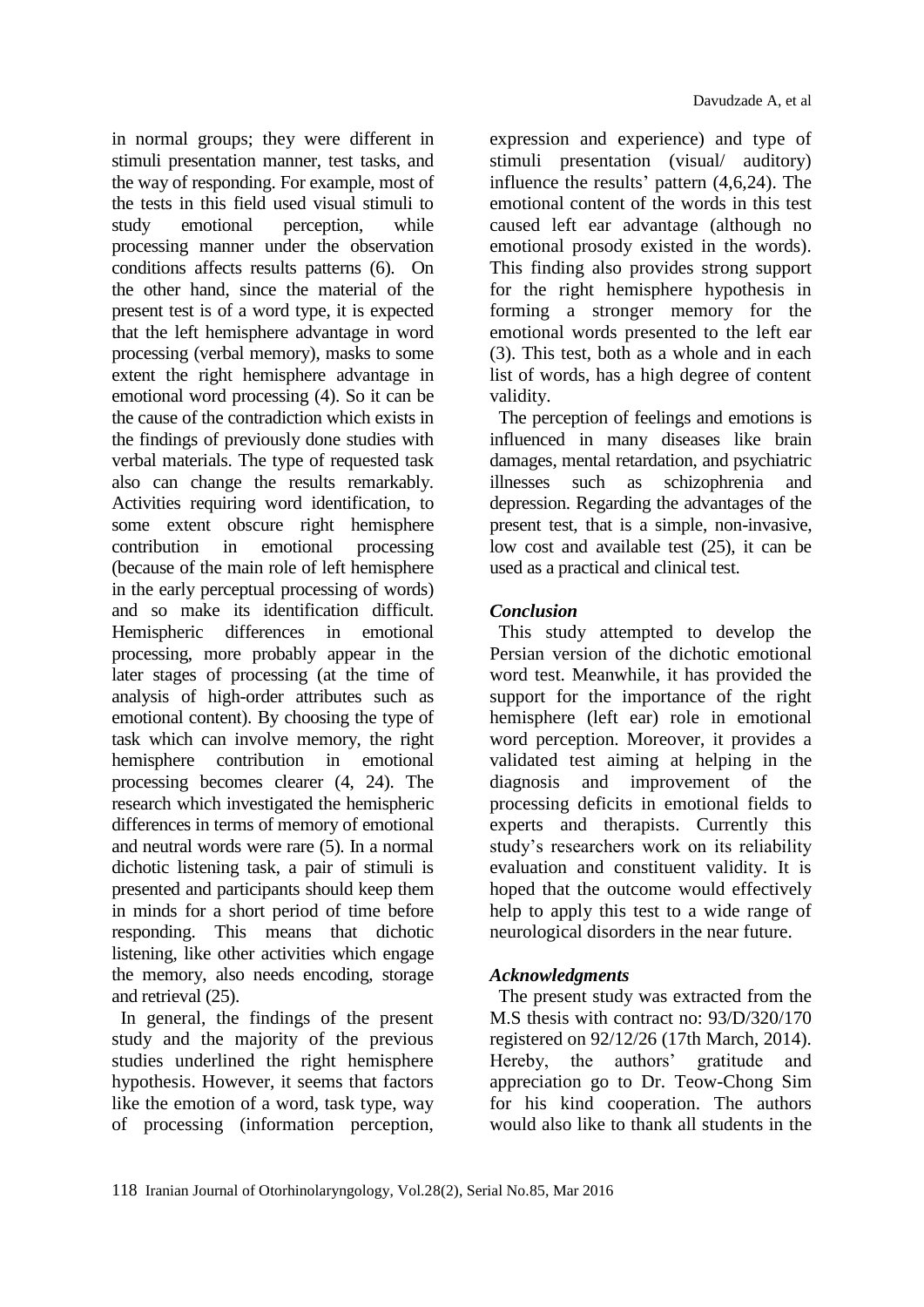in normal groups; they were different in stimuli presentation manner, test tasks, and the way of responding. For example, most of the tests in this field used visual stimuli to study emotional perception, while processing manner under the observation conditions affects results patterns (6). On the other hand, since the material of the present test is of a word type, it is expected that the left hemisphere advantage in word processing (verbal memory), masks to some extent the right hemisphere advantage in emotional word processing (4). So it can be the cause of the contradiction which exists in the findings of previously done studies with verbal materials. The type of requested task also can change the results remarkably. Activities requiring word identification, to some extent obscure right hemisphere contribution in emotional processing (because of the main role of left hemisphere in the early perceptual processing of words) and so make its identification difficult. Hemispheric differences in emotional processing, more probably appear in the later stages of processing (at the time of analysis of high-order attributes such as emotional content). By choosing the type of task which can involve memory, the right hemisphere contribution in emotional processing becomes clearer (4, 24). The research which investigated the hemispheric differences in terms of memory of emotional and neutral words were rare (5). In a normal dichotic listening task, a pair of stimuli is presented and participants should keep them in minds for a short period of time before responding. This means that dichotic listening, like other activities which engage the memory, also needs encoding, storage and retrieval (25).

In general, the findings of the present study and the majority of the previous studies underlined the right hemisphere hypothesis. However, it seems that factors like the emotion of a word, task type, way of processing (information perception, expression and experience) and type of stimuli presentation (visual/ auditory) influence the results' pattern (4,6,24). The emotional content of the words in this test caused left ear advantage (although no emotional prosody existed in the words). This finding also provides strong support for the right hemisphere hypothesis in forming a stronger memory for the emotional words presented to the left ear (3). This test, both as a whole and in each list of words, has a high degree of content validity.

The perception of feelings and emotions is influenced in many diseases like brain damages, mental retardation, and psychiatric illnesses such as schizophrenia and depression. Regarding the advantages of the present test, that is a simple, non-invasive, low cost and available test (25), it can be used as a practical and clinical test.

# *Conclusion*

This study attempted to develop the Persian version of the dichotic emotional word test. Meanwhile, it has provided the support for the importance of the right hemisphere (left ear) role in emotional word perception. Moreover, it provides a validated test aiming at helping in the diagnosis and improvement of the processing deficits in emotional fields to experts and therapists. Currently this study's researchers work on its reliability evaluation and constituent validity. It is hoped that the outcome would effectively help to apply this test to a wide range of neurological disorders in the near future.

## *Acknowledgments*

The present study was extracted from the M.S thesis with contract no: 93/D/320/170 registered on 92/12/26 (17th March, 2014). Hereby, the authors' gratitude and appreciation go to Dr. Teow-Chong Sim for his kind cooperation. The authors would also like to thank all students in the